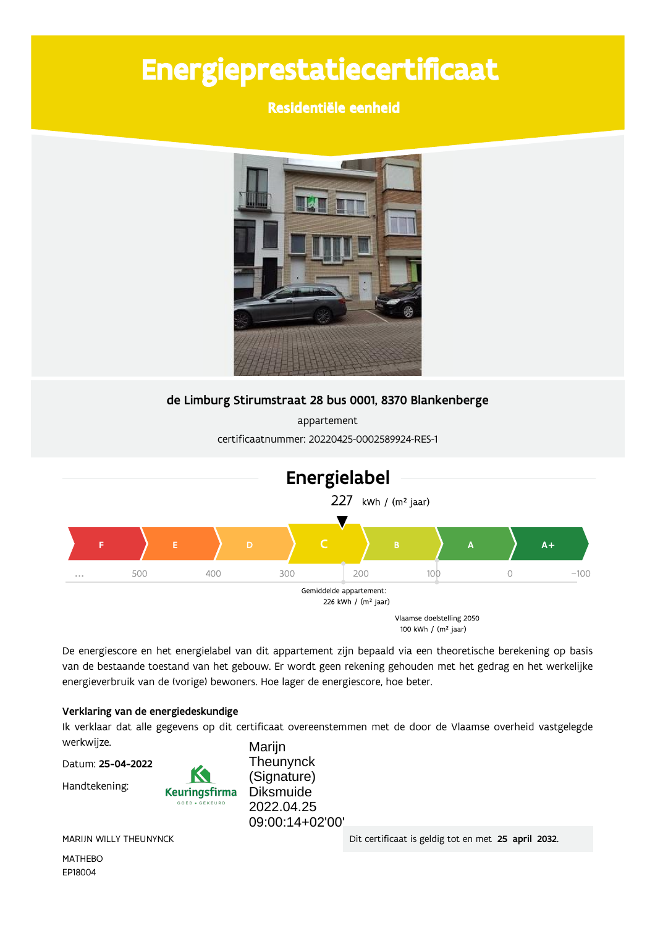# Energieprestatiecertificaat

Residentiële eenheid



de Limburg Stirumstraat 28 bus 0001, 8370 Blankenberge

appartement certificaatnummer: 20220425-0002589924-RES-1



De energiescore en het energielabel van dit appartement zijn bepaald via een theoretische berekening op basis van de bestaande toestand van het gebouw. Er wordt geen rekening gehouden met het gedrag en het werkelijke energieverbruik van de (vorige) bewoners. Hoe lager de energiescore, hoe beter.

### Verklaring van de energiedeskundige

Ik verklaar dat alle gegevens op dit certificaat overeenstemmen met de door de Vlaamse overheid vastgelegde werkwijze. Marijn

Datum: 25-04-2022

Handtekening:



Theunynck (Signature) **Diksmuide** 2022.04.25 09:00:14+02'00'

MARIJN WILLY THEUNYNCK

**MATHEBO** EP18004

Dit certificaat is geldig tot en met 25 april 2032.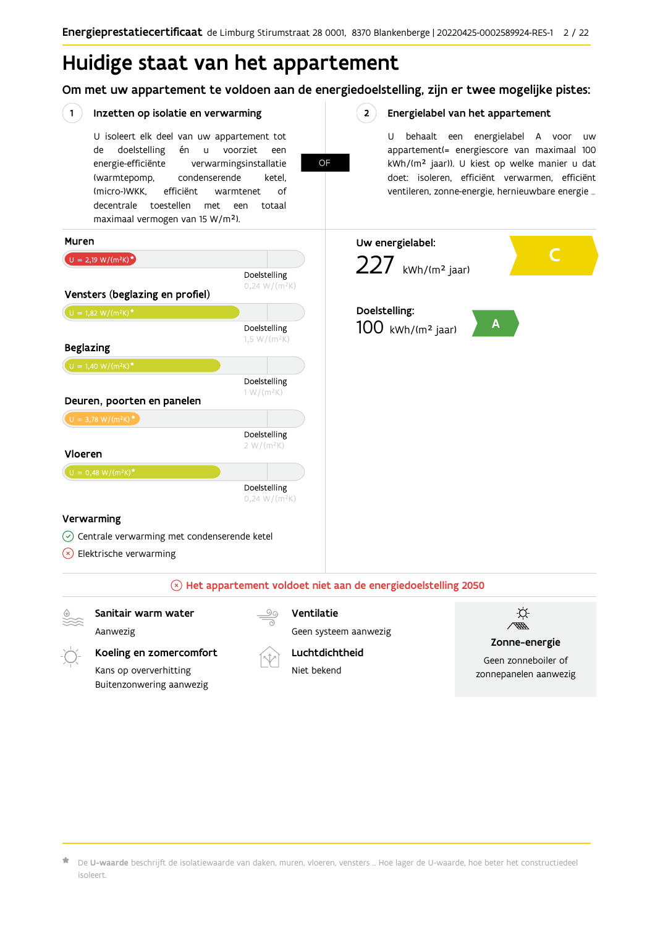## Huidige staat van het appartement

Om met uw appartement te voldoen aan de energiedoelstelling, zijn er twee mogelijke pistes:

**OF** 

 $2^{\circ}$ 

#### $(1)$ Inzetten op isolatie en verwarming

U isoleert elk deel van uw appartement tot doelstelling én voorziet de  $\mathsf{u}$ een energie-efficiënte verwarmingsinstallatie (warmtepomp, condenserende ketel, (micro-)WKK. efficiënt warmtenet  $\bigcap_{ }$ decentrale toestellen met een totaal maximaal vermogen van 15 W/m<sup>2</sup>).

Energielabel van het appartement

U behaalt een energielabel A voor  $\overline{U}$ appartement(= energiescore van maximaal 100 kWh/(m<sup>2</sup> jaar)). U kiest op welke manier u dat doet: isoleren, efficiënt verwarmen, efficiënt ventileren, zonne-energie, hernieuwbare energie ...



## Sanitair warm water Ventilatie Aanwezig Geen systeem aanwezig

Koeling en zomercomfort Kans op oververhitting Buitenzonwering aanwezig



Luchtdichtheid Niet bekend

| ۵<br>۸ |  |
|--------|--|

#### Zonne-energie

Geen zonneboiler of zonnepanelen aanwezig

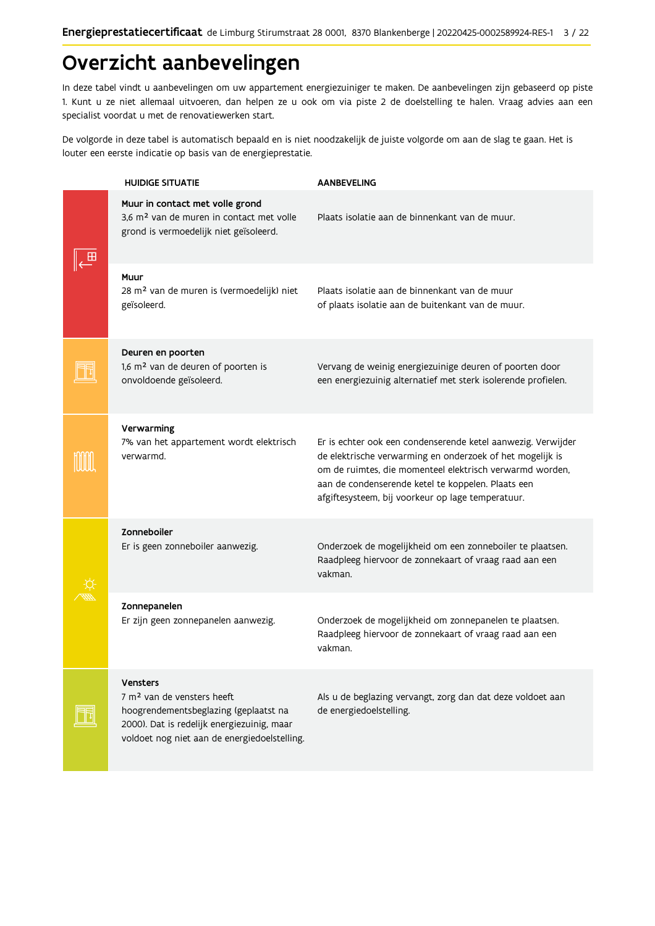## Overzicht aanbevelingen

In deze tabel vindt u aanbevelingen om uw appartement energiezuiniger te maken. De aanbevelingen zijn gebaseerd op piste 1. Kunt u ze niet allemaal uitvoeren, dan helpen ze u ook om via piste 2 de doelstelling te halen. Vraag advies aan een specialist voordat u met de renovatiewerken start.

De volgorde in deze tabel is automatisch bepaald en is niet noodzakelijk de juiste volgorde om aan de slag te gaan. Het is louter een eerste indicatie op basis van de energieprestatie.

| <b>HUIDIGE SITUATIE</b>                                                                                                                                                                          | <b>AANBEVELING</b>                                                                                                                                                                                                                                                                               |
|--------------------------------------------------------------------------------------------------------------------------------------------------------------------------------------------------|--------------------------------------------------------------------------------------------------------------------------------------------------------------------------------------------------------------------------------------------------------------------------------------------------|
| Muur in contact met volle grond<br>3,6 m <sup>2</sup> van de muren in contact met volle<br>grond is vermoedelijk niet geïsoleerd.                                                                | Plaats isolatie aan de binnenkant van de muur.                                                                                                                                                                                                                                                   |
| Muur<br>28 m <sup>2</sup> van de muren is (vermoedelijk) niet<br>geïsoleerd.                                                                                                                     | Plaats isolatie aan de binnenkant van de muur<br>of plaats isolatie aan de buitenkant van de muur.                                                                                                                                                                                               |
| Deuren en poorten<br>1,6 m <sup>2</sup> van de deuren of poorten is<br>onvoldoende geïsoleerd.                                                                                                   | Vervang de weinig energiezuinige deuren of poorten door<br>een energiezuinig alternatief met sterk isolerende profielen.                                                                                                                                                                         |
| Verwarming<br>7% van het appartement wordt elektrisch<br>verwarmd.                                                                                                                               | Er is echter ook een condenserende ketel aanwezig. Verwijder<br>de elektrische verwarming en onderzoek of het mogelijk is<br>om de ruimtes, die momenteel elektrisch verwarmd worden,<br>aan de condenserende ketel te koppelen. Plaats een<br>afgiftesysteem, bij voorkeur op lage temperatuur. |
| Zonneboiler<br>Er is geen zonneboiler aanwezig.                                                                                                                                                  | Onderzoek de mogelijkheid om een zonneboiler te plaatsen.<br>Raadpleeg hiervoor de zonnekaart of vraag raad aan een<br>vakman.                                                                                                                                                                   |
| Zonnepanelen<br>Er zijn geen zonnepanelen aanwezig.                                                                                                                                              | Onderzoek de mogelijkheid om zonnepanelen te plaatsen.<br>Raadpleeg hiervoor de zonnekaart of vraag raad aan een<br>vakman.                                                                                                                                                                      |
| <b>Vensters</b><br>7 m <sup>2</sup> van de vensters heeft<br>hoogrendementsbeglazing (geplaatst na<br>2000). Dat is redelijk energiezuinig, maar<br>voldoet nog niet aan de energiedoelstelling. | Als u de beglazing vervangt, zorg dan dat deze voldoet aan<br>de energiedoelstelling.                                                                                                                                                                                                            |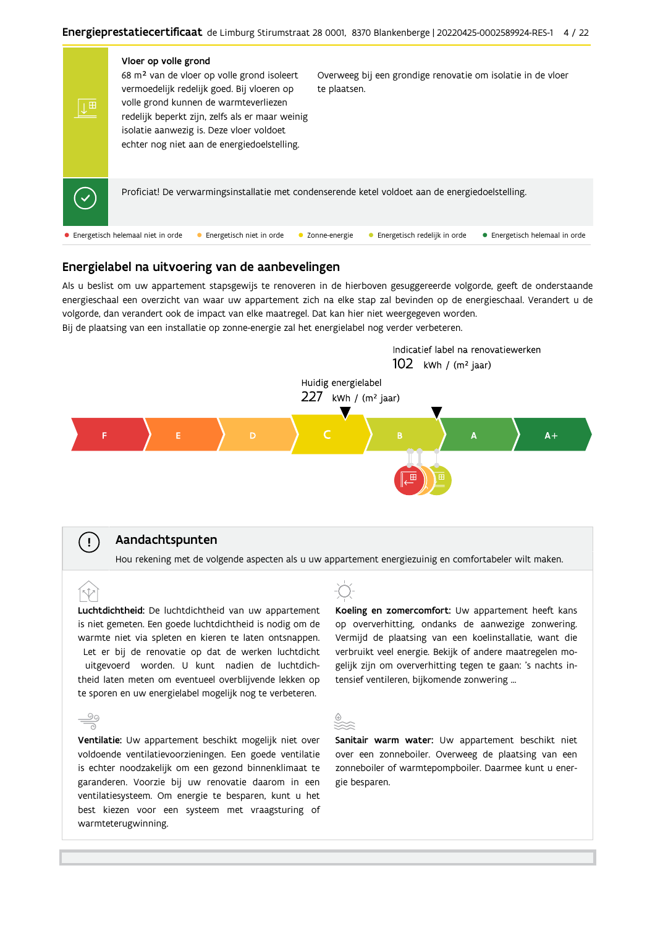

#### Energielabel na uitvoering van de aanbevelingen

Als u beslist om uw appartement stapsgewijs te renoveren in de hierboven gesuggereerde volgorde, geeft de onderstaande energieschaal een overzicht van waar uw appartement zich na elke stap zal bevinden op de energieschaal. Verandert u de volgorde, dan verandert ook de impact van elke maatregel. Dat kan hier niet weergegeven worden. Bij de plaatsing van een installatie op zonne-energie zal het energielabel nog verder verbeteren.



#### Aandachtspunten

Hou rekening met de volgende aspecten als u uw appartement energiezuinig en comfortabeler wilt maken.

Luchtdichtheid: De luchtdichtheid van uw appartement is niet gemeten. Een goede luchtdichtheid is nodig om de warmte niet via spleten en kieren te laten ontsnappen. Let er bij de renovatie op dat de werken luchtdicht uitgevoerd worden. U kunt nadien de luchtdichtheid laten meten om eventueel overblijvende lekken op te sporen en uw energielabel mogelijk nog te verbeteren.

### Koeling en zomercomfort: Uw appartement heeft kans op oververhitting, ondanks de aanwezige zonwering. Vermijd de plaatsing van een koelinstallatie, want die verbruikt veel energie. Bekijk of andere maatregelen mogelijk zijn om oververhitting tegen te gaan: 's nachts intensief ventileren, bijkomende zonwering ...

## 99

 $\mathbf{I}$ 

Ventilatie: Uw appartement beschikt mogelijk niet over voldoende ventilatievoorzieningen. Een goede ventilatie is echter noodzakelijk om een gezond binnenklimaat te garanderen. Voorzie bij uw renovatie daarom in een ventilatiesysteem. Om energie te besparen, kunt u het best kiezen voor een systeem met vraagsturing of warmteterugwinning.

Sanitair warm water: Uw appartement beschikt niet over een zonneboiler. Overweeg de plaatsing van een zonneboiler of warmtepompboiler. Daarmee kunt u energie besparen.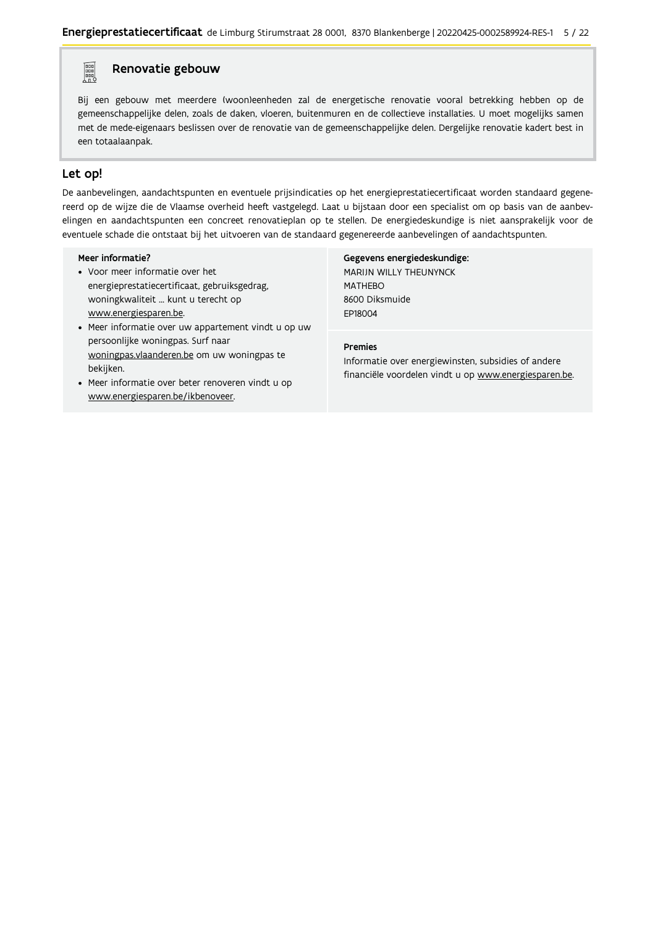#### **Property** Renovatie gebouw

Bij een gebouw met meerdere (woon)eenheden zal de energetische renovatie vooral betrekking hebben op de gemeenschappelijke delen, zoals de daken, vloeren, buitenmuren en de collectieve installaties. U moet mogelijks samen met de mede-eigenaars beslissen over de renovatie van de gemeenschappelijke delen. Dergelijke renovatie kadert best in een totaalaanpak.

### Let op!

De aanbevelingen, aandachtspunten en eventuele prijsindicaties op het energieprestatiecertificaat worden standaard gegenereerd op de wijze die de Vlaamse overheid heeft vastgelegd. Laat u bijstaan door een specialist om op basis van de aanbevelingen en aandachtspunten een concreet renovatieplan op te stellen. De energiedeskundige is niet aansprakelijk voor de eventuele schade die ontstaat bij het uitvoeren van de standaard gegenereerde aanbevelingen of aandachtspunten.

#### Meer informatie?

- Voor meer informatie over het energieprestatiecertificaat, gebruiksgedrag, woningkwaliteit ... kunt u terecht op www.energiesparen.be.
- Meer informatie over uw appartement vindt u op uw persoonlijke woningpas. Surf naar woningpas.vlaanderen.be om uw woningpas te bekijken.
- Meer informatie over beter renoveren vindt u op www.energiesparen.be/ikbenoveer.

#### Gegevens energiedeskundige:

MARIJN WILLY THEUNYNCK **MATHEBO** 8600 Diksmuide FP18004

### **Premies**

Informatie over energiewinsten, subsidies of andere financiële voordelen vindt u op www.energiesparen.be.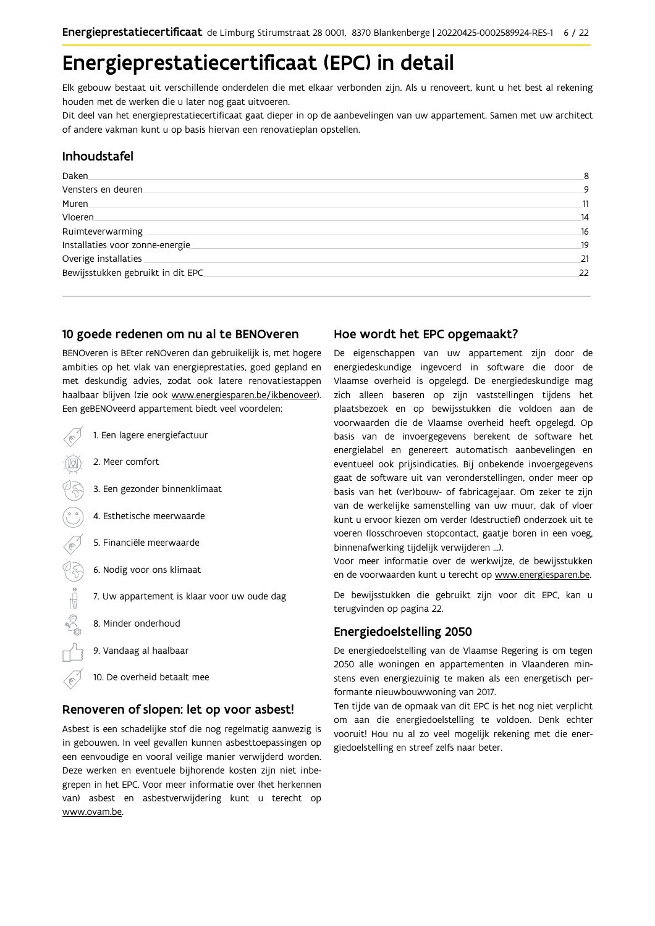## Energieprestatiecertificaat (EPC) in detail

Elk gebouw bestaat uit verschillende onderdelen die met elkaar verbonden zijn. Als u renoveert, kunt u het best al rekening houden met de werken die u later nog gaat uitvoeren.

Dit deel van het energieprestatiecertificaat gaat dieper in op de aanbevelingen van uw appartement. Samen met uw architect of andere vakman kunt u op basis hiervan een renovatieplan opstellen.

### Inhoudstafel

| Daken.                             | 8  |
|------------------------------------|----|
| Vensters en deuren.                | 9  |
| Muren.                             | 11 |
| Vloeren                            | 14 |
| Ruimteverwarming                   | 16 |
| Installaties voor zonne-energie.   | 19 |
| Overige installaties               | 21 |
| Bewijsstukken gebruikt in dit EPC. | 22 |
|                                    |    |

#### 10 goede redenen om nu al te BENOveren

BENOveren is BEter reNOveren dan gebruikelijk is, met hogere ambities op het vlak van energieprestaties, goed gepland en met deskundig advies, zodat ook latere renovatiestappen haalbaar blijven (zie ook www.energiesparen.be/ikbenoveer). Een geBENOveerd appartement biedt veel voordelen:

1. Een lagere energiefactuur 2. Meer comfort 3. Een gezonder binnenklimaat 4. Esthetische meerwaarde 5. Financiële meerwaarde  $\frac{1}{2}$ 6. Nodig voor ons klimaat 7. Uw appartement is klaar voor uw oude dag 8. Minder onderhoud 9. Vandaag al haalbaar 10. De overheid betaalt mee

#### Renoveren of slopen: let op voor asbest!

Asbest is een schadelijke stof die nog regelmatig aanwezig is in gebouwen. In veel gevallen kunnen asbesttoepassingen op een eenvoudige en vooral veilige manier verwijderd worden. Deze werken en eventuele bijhorende kosten zijn niet inbegrepen in het EPC. Voor meer informatie over (het herkennen van) asbest en asbestverwijdering kunt u terecht op www.ovam.be.

#### Hoe wordt het EPC opgemaakt?

De eigenschappen van uw appartement zijn door de energiedeskundige ingevoerd in software die door de Vlaamse overheid is opgelegd. De energiedeskundige mag zich alleen baseren op zijn vaststellingen tijdens het plaatsbezoek en op bewijsstukken die voldoen aan de voorwaarden die de Vlaamse overheid heeft opgelegd. Op basis van de invoergegevens berekent de software het energielabel en genereert automatisch aanbevelingen en eventueel ook prijsindicaties. Bij onbekende invoergegevens gaat de software uit van veronderstellingen, onder meer op basis van het (ver)bouw- of fabricagejaar. Om zeker te zijn van de werkelijke samenstelling van uw muur, dak of vloer kunt u ervoor kiezen om verder (destructief) onderzoek uit te voeren (losschroeven stopcontact, gaatje boren in een voeg, binnenafwerking tijdelijk verwijderen ...).

Voor meer informatie over de werkwijze, de bewijsstukken en de voorwaarden kunt u terecht op www.energiesparen.be.

De bewijsstukken die gebruikt zijn voor dit EPC, kan u terugvinden op pagina 22.

#### **Energiedoelstelling 2050**

De energiedoelstelling van de Vlaamse Regering is om tegen 2050 alle woningen en appartementen in Vlaanderen minstens even energiezuinig te maken als een energetisch performante nieuwbouwwoning van 2017.

Ten tijde van de opmaak van dit EPC is het nog niet verplicht om aan die energiedoelstelling te voldoen. Denk echter vooruit! Hou nu al zo veel mogelijk rekening met die energiedoelstelling en streef zelfs naar beter.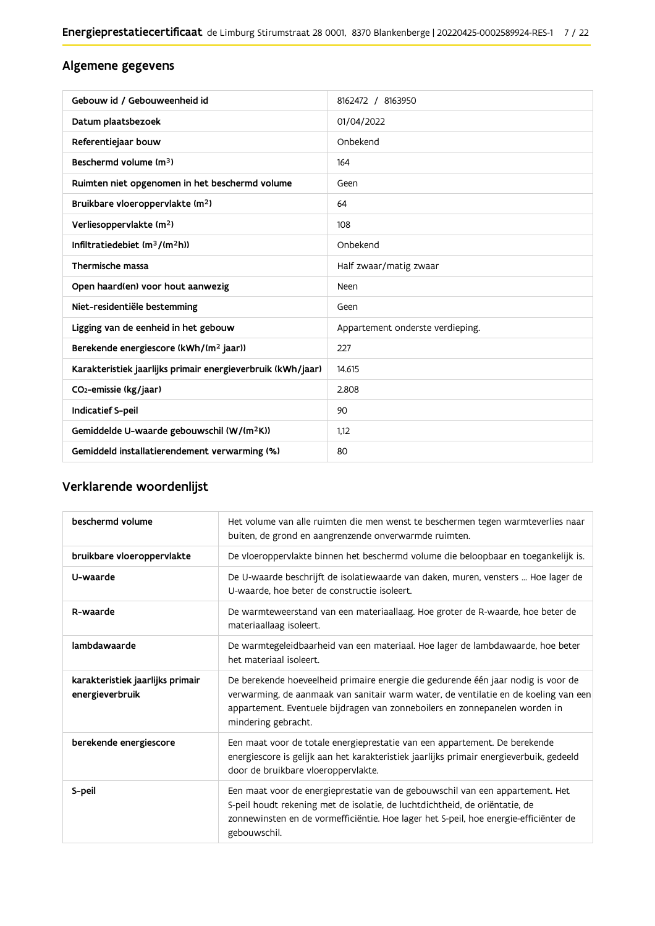## Algemene gegevens

| Gebouw id / Gebouweenheid id                                | 8162472 / 8163950                |
|-------------------------------------------------------------|----------------------------------|
| Datum plaatsbezoek                                          | 01/04/2022                       |
| Referentiejaar bouw                                         | Onbekend                         |
| Beschermd volume (m <sup>3</sup> )                          | 164                              |
| Ruimten niet opgenomen in het beschermd volume              | Geen                             |
| Bruikbare vloeroppervlakte (m <sup>2</sup> )                | 64                               |
| Verliesoppervlakte (m <sup>2</sup> )                        | 108                              |
| Infiltratiedebiet $(m^3/(m^2h))$                            | Onbekend                         |
| Thermische massa                                            | Half zwaar/matig zwaar           |
| Open haard(en) voor hout aanwezig                           | Neen                             |
| Niet-residentiële bestemming                                | Geen                             |
| Ligging van de eenheid in het gebouw                        | Appartement onderste verdieping. |
| Berekende energiescore (kWh/(m <sup>2</sup> jaar))          | 227                              |
| Karakteristiek jaarlijks primair energieverbruik (kWh/jaar) | 14.615                           |
| CO <sub>2</sub> -emissie (kg/jaar)                          | 2.808                            |
| Indicatief S-peil                                           | 90                               |
| Gemiddelde U-waarde gebouwschil (W/(m <sup>2</sup> K))      | 1,12                             |
| Gemiddeld installatierendement verwarming (%)               | 80                               |

## Verklarende woordenlijst

| beschermd volume                                    | Het volume van alle ruimten die men wenst te beschermen tegen warmteverlies naar<br>buiten, de grond en aangrenzende onverwarmde ruimten.                                                                                                                                      |
|-----------------------------------------------------|--------------------------------------------------------------------------------------------------------------------------------------------------------------------------------------------------------------------------------------------------------------------------------|
| bruikbare vloeroppervlakte                          | De vloeroppervlakte binnen het beschermd volume die beloopbaar en toegankelijk is.                                                                                                                                                                                             |
| U-waarde                                            | De U-waarde beschrijft de isolatiewaarde van daken, muren, vensters  Hoe lager de<br>U-waarde, hoe beter de constructie isoleert.                                                                                                                                              |
| R-waarde                                            | De warmteweerstand van een materiaallaag. Hoe groter de R-waarde, hoe beter de<br>materiaallaag isoleert.                                                                                                                                                                      |
| lambdawaarde                                        | De warmtegeleidbaarheid van een materiaal. Hoe lager de lambdawaarde, hoe beter<br>het materiaal isoleert.                                                                                                                                                                     |
| karakteristiek jaarlijks primair<br>energieverbruik | De berekende hoeveelheid primaire energie die gedurende één jaar nodig is voor de<br>verwarming, de aanmaak van sanitair warm water, de ventilatie en de koeling van een<br>appartement. Eventuele bijdragen van zonneboilers en zonnepanelen worden in<br>mindering gebracht. |
| berekende energiescore                              | Een maat voor de totale energieprestatie van een appartement. De berekende<br>energiescore is gelijk aan het karakteristiek jaarlijks primair energieverbuik, gedeeld<br>door de bruikbare vloeroppervlakte.                                                                   |
| S-peil                                              | Een maat voor de energieprestatie van de gebouwschil van een appartement. Het<br>S-peil houdt rekening met de isolatie, de luchtdichtheid, de oriëntatie, de<br>zonnewinsten en de vormefficiëntie. Hoe lager het S-peil, hoe energie-efficiënter de<br>gebouwschil.           |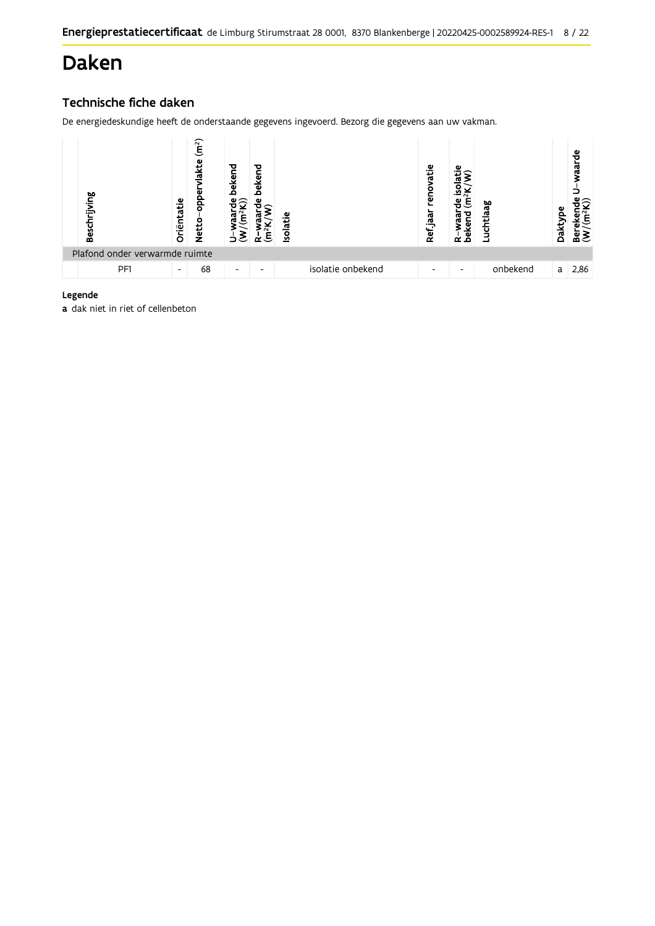## Daken

## Technische fiche daken

De energiedeskundige heeft de onderstaande gegevens ingevoerd. Bezorg die gegevens aan uw vakman.



#### Legende

a dak niet in riet of cellenbeton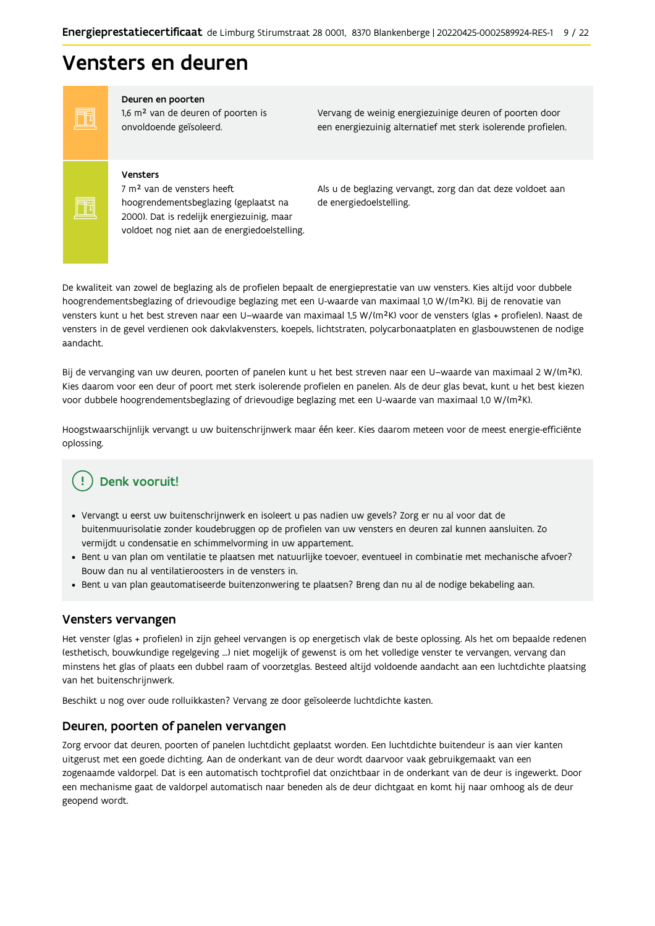## Vensters en deuren

FF FF

#### Deuren en poorten

1,6 m<sup>2</sup> van de deuren of poorten is onvoldoende geïsoleerd.

Vervang de weinig energiezuinige deuren of poorten door een energiezuinig alternatief met sterk isolerende profielen.

#### Vensters

7 m<sup>2</sup> van de vensters heeft hoogrendementsbeglazing (geplaatst na 2000). Dat is redelijk energiezuinig, maar voldoet nog niet aan de energiedoelstelling. Als u de beglazing vervangt, zorg dan dat deze voldoet aan de energiedoelstelling.

De kwaliteit van zowel de beglazing als de profielen bepaalt de energieprestatie van uw vensters. Kies altijd voor dubbele hoogrendementsbeglazing of drievoudige beglazing met een U-waarde van maximaal 1,0 W/(m<sup>2</sup>K). Bij de renovatie van vensters kunt u het best streven naar een U-waarde van maximaal 1,5 W/(m<sup>2</sup>K) voor de vensters (glas + profielen). Naast de vensters in de gevel verdienen ook dakvlakvensters, koepels, lichtstraten, polycarbonaatplaten en glasbouwstenen de nodige aandacht.

Bij de vervanging van uw deuren, poorten of panelen kunt u het best streven naar een U-waarde van maximaal 2 W/(m<sup>2</sup>K). Kies daarom voor een deur of poort met sterk isolerende profielen en panelen. Als de deur glas bevat, kunt u het best kiezen voor dubbele hoogrendementsbeglazing of drievoudige beglazing met een U-waarde van maximaal 1,0 W/(m<sup>2</sup>K).

Hoogstwaarschijnlijk vervangt u uw buitenschrijnwerk maar één keer. Kies daarom meteen voor de meest energie-efficiënte oplossing.

## Denk vooruit!

- · Vervangt u eerst uw buitenschrijnwerk en isoleert u pas nadien uw gevels? Zorg er nu al voor dat de buitenmuurisolatie zonder koudebruggen op de profielen van uw vensters en deuren zal kunnen aansluiten. Zo vermijdt u condensatie en schimmelvorming in uw appartement.
- Bent u van plan om ventilatie te plaatsen met natuurlijke toevoer, eventueel in combinatie met mechanische afvoer? Bouw dan nu al ventilatieroosters in de vensters in.
- · Bent u van plan geautomatiseerde buitenzonwering te plaatsen? Breng dan nu al de nodige bekabeling aan.

#### Vensters vervangen

Het venster (glas + profielen) in zijn geheel vervangen is op energetisch vlak de beste oplossing. Als het om bepaalde redenen (esthetisch, bouwkundige regelgeving ...) niet mogelijk of gewenst is om het volledige venster te vervangen, vervang dan minstens het glas of plaats een dubbel raam of voorzetglas. Besteed altijd voldoende aandacht aan een luchtdichte plaatsing van het buitenschrijnwerk.

Beschikt u nog over oude rolluikkasten? Vervang ze door geïsoleerde luchtdichte kasten.

#### Deuren, poorten of panelen vervangen

Zorg ervoor dat deuren, poorten of panelen luchtdicht geplaatst worden. Een luchtdichte buitendeur is aan vier kanten uitgerust met een goede dichting. Aan de onderkant van de deur wordt daarvoor vaak gebruikgemaakt van een zogenaamde valdorpel. Dat is een automatisch tochtprofiel dat onzichtbaar in de onderkant van de deur is ingewerkt. Door een mechanisme gaat de valdorpel automatisch naar beneden als de deur dichtgaat en komt hij naar omhoog als de deur geopend wordt.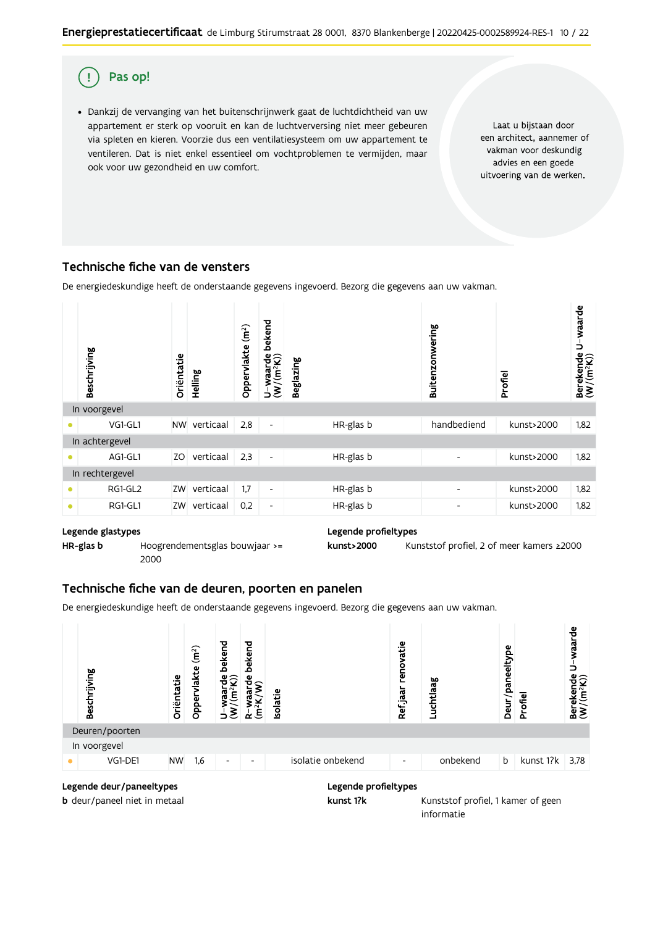

· Dankzij de vervanging van het buitenschrijnwerk gaat de luchtdichtheid van uw appartement er sterk op vooruit en kan de luchtverversing niet meer gebeuren via spleten en kieren. Voorzie dus een ventilatiesysteem om uw appartement te ventileren. Dat is niet enkel essentieel om vochtproblemen te vermijden, maar ook voor uw gezondheid en uw comfort.

Laat u bijstaan door een architect, aannemer of vakman voor deskundig advies en een goede uitvoering van de werken.

## Technische fiche van de vensters

De energiedeskundige heeft de onderstaande gegevens ingevoerd. Bezorg die gegevens aan uw vakman.



#### Legende glastypes

HR-glas b

Hoogrendementsglas bouwjaar >= 2000

#### Legende profieltypes

kunst>2000 Kunststof profiel, 2 of meer kamers ≥2000

## Technische fiche van de deuren, poorten en panelen

De energiedeskundige heeft de onderstaande gegevens ingevoerd. Bezorg die gegevens aan uw vakman.



#### Legende profieltypes kunst 1?k

**b** deur/paneel niet in metaal

Kunststof profiel, 1 kamer of geen informatie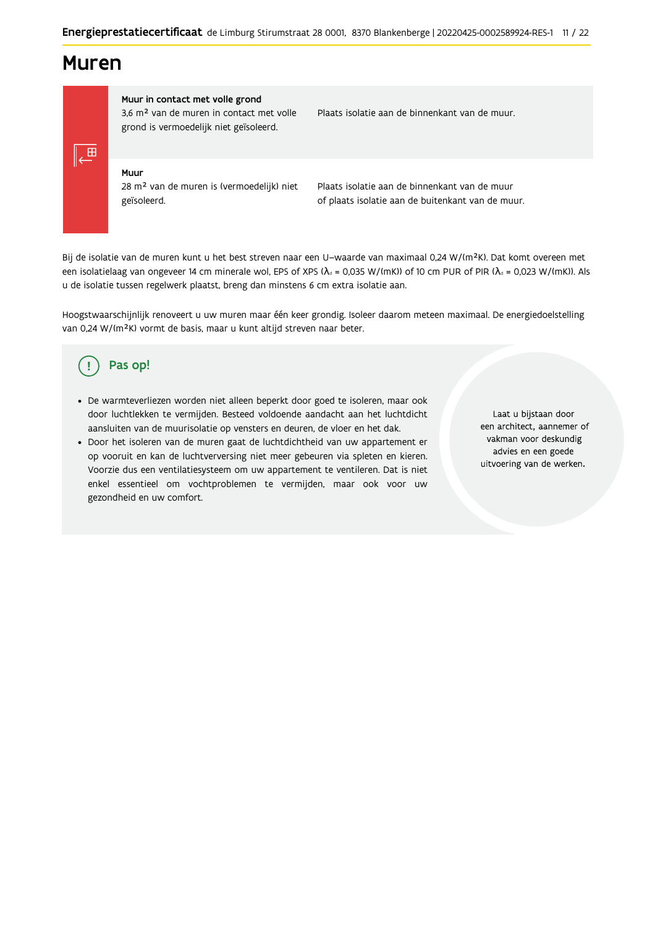## **Muren**

 $\sqrt{2}$ 

Muur in contact met volle grond 3,6 m<sup>2</sup> van de muren in contact met volle grond is vermoedelijk niet geïsoleerd.

Plaats isolatie aan de binnenkant van de muur.

#### Muur

28 m<sup>2</sup> van de muren is (vermoedelijk) niet geïsoleerd.

Plaats isolatie aan de binnenkant van de muur of plaats isolatie aan de buitenkant van de muur.

Bij de isolatie van de muren kunt u het best streven naar een U-waarde van maximaal 0,24 W/(m<sup>2</sup>K). Dat komt overeen met een isolatielaag van ongeveer 14 cm minerale wol, EPS of XPS ( $\lambda_a$  = 0,035 W/(mK)) of 10 cm PUR of PIR ( $\lambda_a$  = 0,023 W/(mK)). Als u de isolatie tussen regelwerk plaatst, breng dan minstens 6 cm extra isolatie aan.

Hoogstwaarschijnlijk renoveert u uw muren maar één keer grondig. Isoleer daarom meteen maximaal. De energiedoelstelling van 0,24 W/(m<sup>2</sup>K) vormt de basis, maar u kunt altijd streven naar beter.

#### Pas op! (!

- De warmteverliezen worden niet alleen beperkt door goed te isoleren, maar ook door luchtlekken te vermijden. Besteed voldoende aandacht aan het luchtdicht aansluiten van de muurisolatie op vensters en deuren, de vloer en het dak.
- · Door het isoleren van de muren gaat de luchtdichtheid van uw appartement er op vooruit en kan de luchtverversing niet meer gebeuren via spleten en kieren. Voorzie dus een ventilatiesysteem om uw appartement te ventileren. Dat is niet enkel essentieel om vochtproblemen te vermijden, maar ook voor uw gezondheid en uw comfort.

Laat u bijstaan door een architect, aannemer of vakman voor deskundig advies en een goede uitvoering van de werken.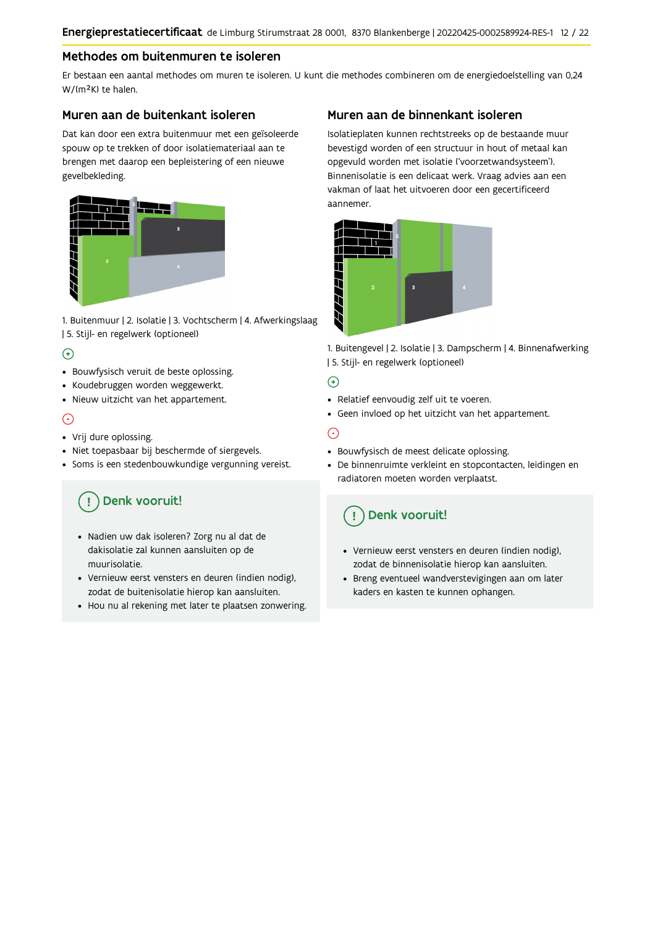## Methodes om buitenmuren te isoleren

Er bestaan een aantal methodes om muren te isoleren. U kunt die methodes combineren om de energiedoelstelling van 0,24 W/(m<sup>2</sup>K) te halen.

### Muren aan de buitenkant isoleren

Dat kan door een extra buitenmuur met een geïsoleerde spouw op te trekken of door isolatiemateriaal aan te brengen met daarop een bepleistering of een nieuwe gevelbekleding.



1. Buitenmuur | 2. Isolatie | 3. Vochtscherm | 4. Afwerkingslaag | 5. Stijl- en regelwerk (optioneel)

### $\Theta$

- Bouwfysisch veruit de beste oplossing.
- Koudebruggen worden weggewerkt.
- · Nieuw uitzicht van het appartement.

### $\odot$

- Vrij dure oplossing.
- · Niet toepasbaar bij beschermde of siergevels.
- Soms is een stedenbouwkundige vergunning vereist.

## Denk vooruit!

- · Nadien uw dak isoleren? Zorg nu al dat de dakisolatie zal kunnen aansluiten op de muurisolatie.
- · Vernieuw eerst vensters en deuren (indien nodig), zodat de buitenisolatie hierop kan aansluiten.
- Hou nu al rekening met later te plaatsen zonwering.

### Muren aan de binnenkant isoleren

Isolatieplaten kunnen rechtstreeks op de bestaande muur bevestigd worden of een structuur in hout of metaal kan opgevuld worden met isolatie ('voorzetwandsysteem'). Binnenisolatie is een delicaat werk. Vraag advies aan een vakman of laat het uitvoeren door een gecertificeerd aannemer



1. Buitengevel | 2. Isolatie | 3. Dampscherm | 4. Binnenafwerking | 5. Stijl- en regelwerk (optioneel)

#### $\bigoplus$

- Relatief eenvoudig zelf uit te voeren.
- Geen invloed op het uitzicht van het appartement.

## ⊝

- Bouwfysisch de meest delicate oplossing.
- · De binnenruimte verkleint en stopcontacten, leidingen en radiatoren moeten worden verplaatst.

## Denk vooruit!

- Vernieuw eerst vensters en deuren (indien nodig), zodat de binnenisolatie hierop kan aansluiten.
- · Breng eventueel wandverstevigingen aan om later kaders en kasten te kunnen ophangen.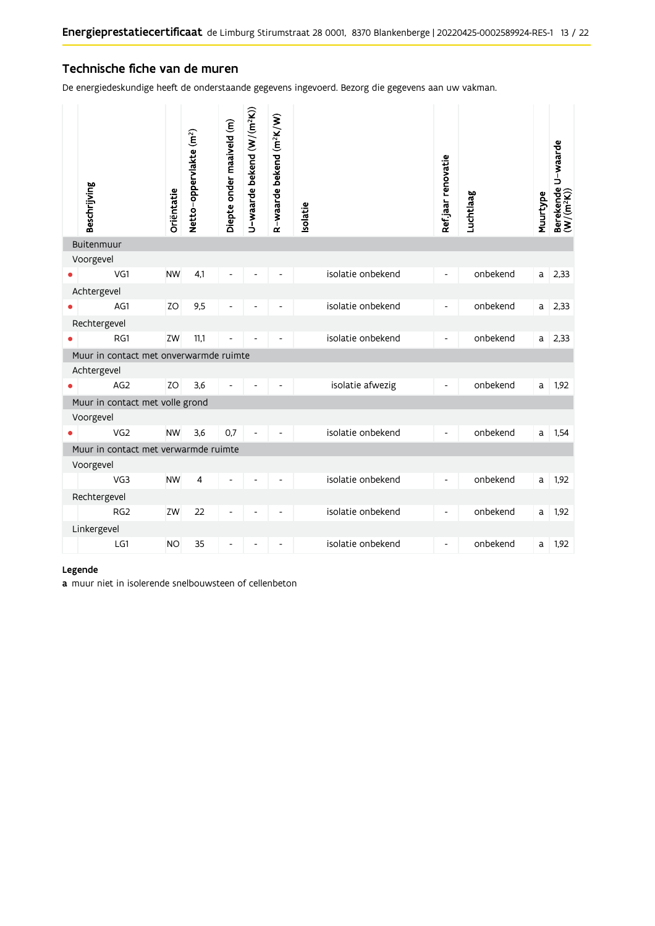## Technische fiche van de muren

De energiedeskundige heeft de onderstaande gegevens ingevoerd. Bezorg die gegevens aan uw vakman.

| Beschrijving                           | Oriëntatie | Netto-oppervlakte (m <sup>2</sup> ) | Diepte onder maaiveld (m) | U-waarde bekend (W/(m <sup>2</sup> K)) | R-waarde bekend (m <sup>2</sup> K/W) | solatie |                   | Ref.jaar renovatie       | Luchtlaag | Muurtype | Berekende U-waarde<br>(W/(m <sup>2</sup> K)) |
|----------------------------------------|------------|-------------------------------------|---------------------------|----------------------------------------|--------------------------------------|---------|-------------------|--------------------------|-----------|----------|----------------------------------------------|
| Buitenmuur                             |            |                                     |                           |                                        |                                      |         |                   |                          |           |          |                                              |
| Voorgevel                              |            |                                     |                           |                                        |                                      |         |                   |                          |           |          |                                              |
| VG1                                    | <b>NW</b>  | 4,1                                 |                           |                                        |                                      |         | isolatie onbekend | $\overline{\phantom{a}}$ | onbekend  | a        | 2,33                                         |
| Achtergevel                            |            |                                     |                           |                                        |                                      |         |                   |                          |           |          |                                              |
| AG1                                    | ZO         | 9,5                                 |                           |                                        |                                      |         | isolatie onbekend | $\frac{1}{2}$            | onbekend  | a        | 2,33                                         |
| Rechtergevel                           |            |                                     |                           |                                        |                                      |         |                   |                          |           |          |                                              |
| RG1                                    | ZW         | 11,1                                |                           |                                        |                                      |         | isolatie onbekend | $\overline{a}$           | onbekend  | a        | 2,33                                         |
| Muur in contact met onverwarmde ruimte |            |                                     |                           |                                        |                                      |         |                   |                          |           |          |                                              |
| Achtergevel                            |            |                                     |                           |                                        |                                      |         |                   |                          |           |          |                                              |
| AG2                                    | ZO         | 3,6                                 |                           |                                        |                                      |         | isolatie afwezig  | $\overline{a}$           | onbekend  | a        | 1,92                                         |
| Muur in contact met volle grond        |            |                                     |                           |                                        |                                      |         |                   |                          |           |          |                                              |
| Voorgevel                              |            |                                     |                           |                                        |                                      |         |                   |                          |           |          |                                              |
| VG <sub>2</sub>                        | <b>NW</b>  | 3,6                                 | 0,7                       |                                        |                                      |         | isolatie onbekend | $\overline{\phantom{a}}$ | onbekend  | a        | 1,54                                         |
| Muur in contact met verwarmde ruimte   |            |                                     |                           |                                        |                                      |         |                   |                          |           |          |                                              |
| Voorgevel<br>VG3                       | <b>NW</b>  | 4                                   |                           |                                        |                                      |         | isolatie onbekend | $\overline{\phantom{a}}$ | onbekend  | a        | 1,92                                         |
|                                        |            |                                     |                           |                                        |                                      |         |                   |                          |           |          |                                              |
| Rechtergevel<br>RG <sub>2</sub>        | ZW         | 22                                  |                           |                                        |                                      |         | isolatie onbekend | $\overline{\phantom{a}}$ | onbekend  | a        | 1,92                                         |
|                                        |            |                                     |                           |                                        |                                      |         |                   |                          |           |          |                                              |
| Linkergevel<br>LG1                     | <b>NO</b>  | 35                                  |                           |                                        |                                      |         | isolatie onbekend | $\overline{\phantom{0}}$ | onbekend  | a        | 1,92                                         |
|                                        |            |                                     |                           |                                        |                                      |         |                   |                          |           |          |                                              |

#### Legende

a muur niet in isolerende snelbouwsteen of cellenbeton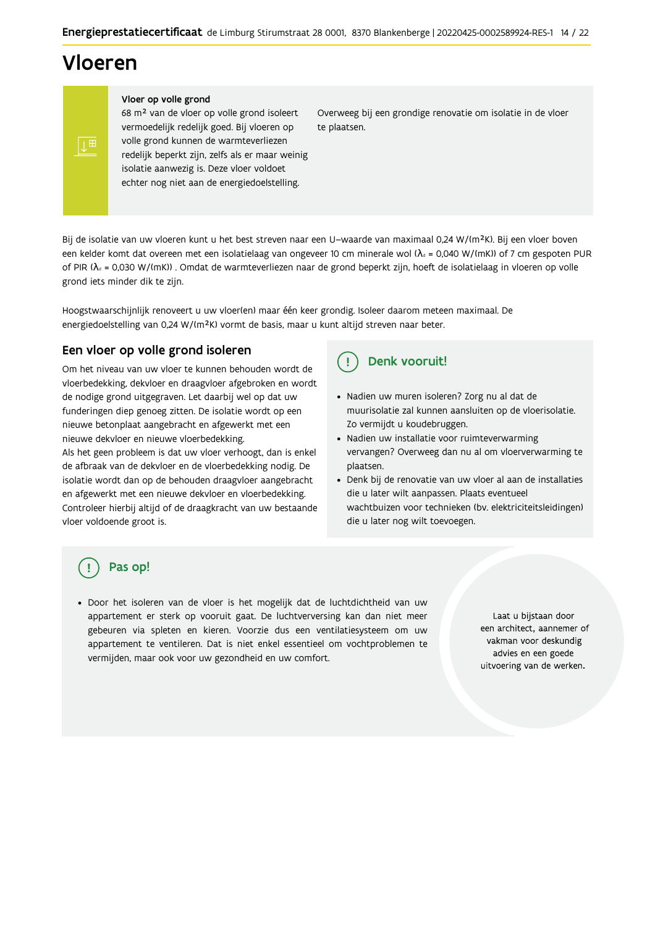## Vloeren

#### Vloer op volle grond

68 m<sup>2</sup> van de vloer op volle grond isoleert vermoedelijk redelijk goed. Bij vloeren op volle grond kunnen de warmteverliezen redelijk beperkt zijn, zelfs als er maar weinig isolatie aanwezig is. Deze vloer voldoet echter nog niet aan de energiedoelstelling.

Overweeg bij een grondige renovatie om isolatie in de vloer te plaatsen.

Bij de isolatie van uw vloeren kunt u het best streven naar een U-waarde van maximaal 0,24 W/(m<sup>2</sup>K). Bij een vloer boven een kelder komt dat overeen met een isolatielaag van ongeveer 10 cm minerale wol ( $\lambda_d$  = 0,040 W/(mK)) of 7 cm gespoten PUR of PIR ( $\lambda_0$  = 0,030 W/(mK)). Omdat de warmteverliezen naar de grond beperkt zijn, hoeft de isolatielaag in vloeren op volle grond iets minder dik te zijn.

Hoogstwaarschijnlijk renoveert u uw vloer(en) maar één keer grondig. Isoleer daarom meteen maximaal. De energiedoelstelling van 0,24 W/(m<sup>2</sup>K) vormt de basis, maar u kunt altijd streven naar beter.

## Een vloer op volle grond isoleren

Om het niveau van uw vloer te kunnen behouden wordt de vloerbedekking, dekvloer en draagvloer afgebroken en wordt de nodige grond uitgegraven. Let daarbij wel op dat uw funderingen diep genoeg zitten. De isolatie wordt op een nieuwe betonplaat aangebracht en afgewerkt met een nieuwe dekvloer en nieuwe vloerbedekking.

Als het geen probleem is dat uw vloer verhoogt, dan is enkel de afbraak van de dekvloer en de vloerbedekking nodig. De isolatie wordt dan op de behouden draagvloer aangebracht en afgewerkt met een nieuwe dekvloer en vloerbedekking. Controleer hierbij altijd of de draagkracht van uw bestaande vloer voldoende groot is.

#### Denk vooruit!  $\left( \begin{array}{c} 1 \end{array} \right)$

- · Nadien uw muren isoleren? Zorg nu al dat de muurisolatie zal kunnen aansluiten op de vloerisolatie. Zo vermijdt u koudebruggen.
- Nadien uw installatie voor ruimteverwarming vervangen? Overweeg dan nu al om vloerverwarming te plaatsen.
- · Denk bij de renovatie van uw vloer al aan de installaties die u later wilt aanpassen. Plaats eventueel wachtbuizen voor technieken (bv. elektriciteitsleidingen) die u later nog wilt toevoegen.

## Pas op!

· Door het isoleren van de vloer is het mogelijk dat de luchtdichtheid van uw appartement er sterk op vooruit gaat. De luchtverversing kan dan niet meer gebeuren via spleten en kieren. Voorzie dus een ventilatiesysteem om uw appartement te ventileren. Dat is niet enkel essentieel om vochtproblemen te vermijden, maar ook voor uw gezondheid en uw comfort.

Laat u bijstaan door een architect, aannemer of vakman voor deskundig advies en een goede uitvoering van de werken.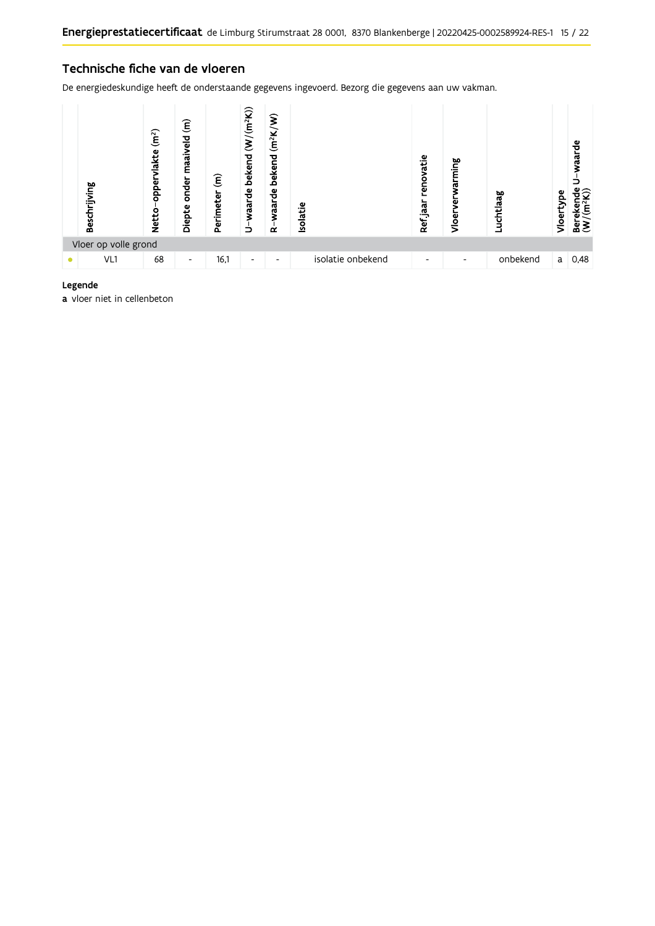### Technische fiche van de vloeren

De energiedeskundige heeft de onderstaande gegevens ingevoerd. Bezorg die gegevens aan uw vakman.



#### Legende

a vloer niet in cellenbeton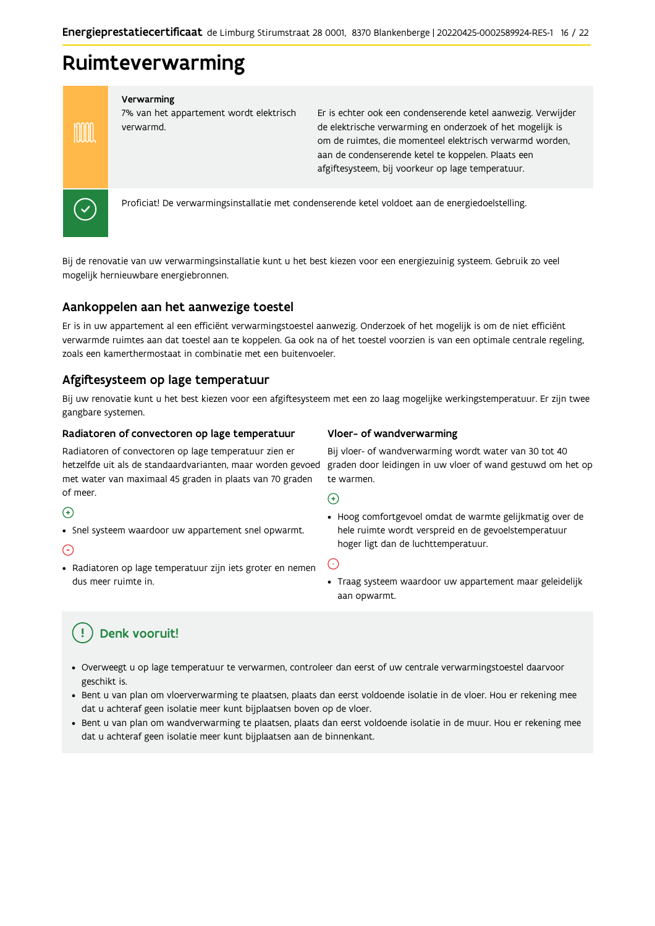## Ruimteverwarming

#### Verwarming

7% van het appartement wordt elektrisch verwarmd.

Er is echter ook een condenserende ketel aanwezig. Verwijder de elektrische verwarming en onderzoek of het mogelijk is om de ruimtes, die momenteel elektrisch verwarmd worden, aan de condenserende ketel te koppelen. Plaats een afgiftesysteem, bij voorkeur op lage temperatuur.



**MM** 

Proficiat! De verwarmingsinstallatie met condenserende ketel voldoet aan de energiedoelstelling.

Bij de renovatie van uw verwarmingsinstallatie kunt u het best kiezen voor een energiezuinig systeem. Gebruik zo veel mogelijk hernieuwbare energiebronnen.

### Aankoppelen aan het aanwezige toestel

Er is in uw appartement al een efficiënt verwarmingstoestel aanwezig. Onderzoek of het mogelijk is om de niet efficiënt verwarmde ruimtes aan dat toestel aan te koppelen. Ga ook na of het toestel voorzien is van een optimale centrale regeling, zoals een kamerthermostaat in combinatie met een buitenvoeler.

### Afgiftesysteem op lage temperatuur

Bij uw renovatie kunt u het best kiezen voor een afgiftesysteem met een zo laag mogelijke werkingstemperatuur. Er zijn twee gangbare systemen.

#### Radiatoren of convectoren op lage temperatuur

Radiatoren of convectoren op lage temperatuur zien er hetzelfde uit als de standaardvarianten, maar worden gevoed met water van maximaal 45 graden in plaats van 70 graden of meer.

#### $\bigoplus$

• Snel systeem waardoor uw appartement snel opwarmt.

#### ∩

· Radiatoren op lage temperatuur zijn iets groter en nemen dus meer ruimte in.

#### Vloer- of wandverwarming

Bij vloer- of wandverwarming wordt water van 30 tot 40 graden door leidingen in uw vloer of wand gestuwd om het op te warmen.

 $\odot$ 

· Hoog comfortgevoel omdat de warmte gelijkmatig over de hele ruimte wordt verspreid en de gevoelstemperatuur hoger ligt dan de luchttemperatuur.

 $(\text{-})$ 

· Traag systeem waardoor uw appartement maar geleidelijk aan opwarmt.

## Denk vooruit!

- · Overweegt u op lage temperatuur te verwarmen, controleer dan eerst of uw centrale verwarmingstoestel daarvoor geschikt is.
- · Bent u van plan om vloerverwarming te plaatsen, plaats dan eerst voldoende isolatie in de vloer. Hou er rekening mee dat u achteraf geen isolatie meer kunt bijplaatsen boven op de vloer.
- · Bent u van plan om wandverwarming te plaatsen, plaats dan eerst voldoende isolatie in de muur. Hou er rekening mee dat u achteraf geen isolatie meer kunt bijplaatsen aan de binnenkant.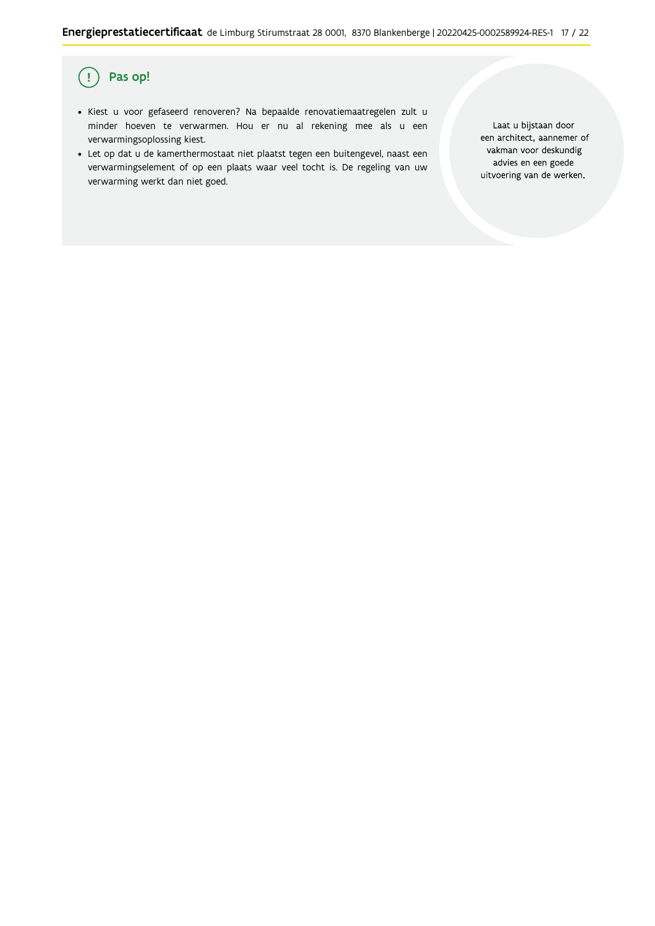#### Pas op!  $\left(\cdot\right)$

- · Kiest u voor gefaseerd renoveren? Na bepaalde renovatiemaatregelen zult u minder hoeven te verwarmen. Hou er nu al rekening mee als u een verwarmingsoplossing kiest.
- · Let op dat u de kamerthermostaat niet plaatst tegen een buitengevel, naast een verwarmingselement of op een plaats waar veel tocht is. De regeling van uw verwarming werkt dan niet goed.

Laat u bijstaan door een architect, aannemer of vakman voor deskundig advies en een goede uitvoering van de werken.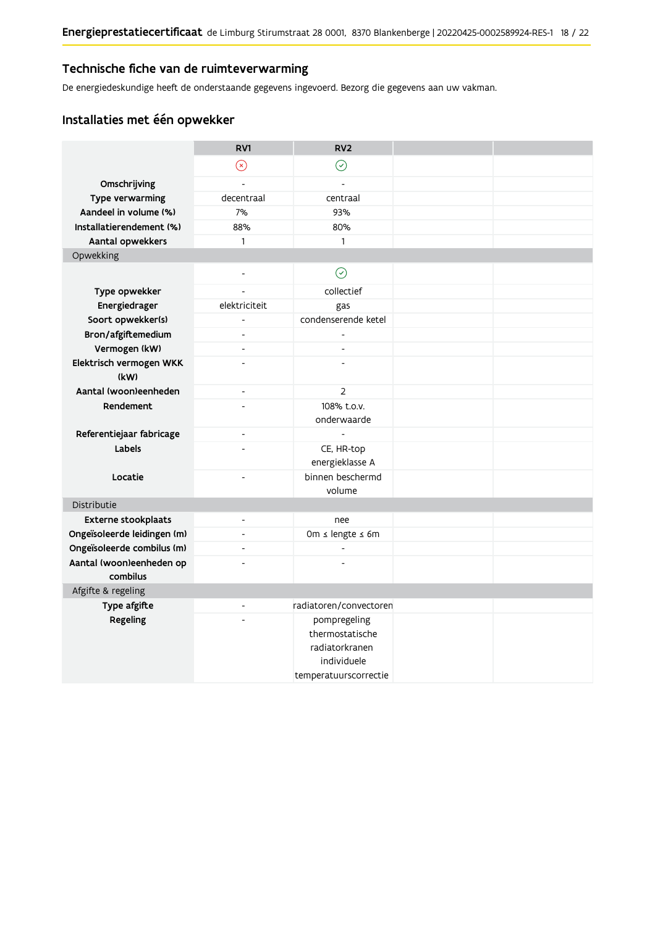### Technische fiche van de ruimteverwarming

De energiedeskundige heeft de onderstaande gegevens ingevoerd. Bezorg die gegevens aan uw vakman.

## Installaties met één opwekker

|                                      | RV1                      | RV <sub>2</sub>            |  |
|--------------------------------------|--------------------------|----------------------------|--|
|                                      | $\odot$                  | $\odot$                    |  |
| Omschrijving                         | $\overline{a}$           | $\overline{a}$             |  |
| <b>Type verwarming</b>               | decentraal               | centraal                   |  |
| Aandeel in volume (%)                | 7%                       | 93%                        |  |
| Installatierendement (%)             | 88%                      | 80%                        |  |
| Aantal opwekkers                     | $\mathbf{1}$             | $\mathbf{1}$               |  |
| Opwekking                            |                          |                            |  |
|                                      | $\overline{\phantom{a}}$ | $\odot$                    |  |
| Type opwekker                        |                          | collectief                 |  |
| Energiedrager                        | elektriciteit            | gas                        |  |
| Soort opwekker(s)                    | $\overline{a}$           | condenserende ketel        |  |
| Bron/afgiftemedium                   | $\overline{a}$           | $\overline{a}$             |  |
| Vermogen (kW)                        | $\overline{\phantom{a}}$ | $\overline{a}$             |  |
| Elektrisch vermogen WKK<br>(kW)      | $\overline{a}$           |                            |  |
| Aantal (woon)eenheden                | $\blacksquare$           | $\overline{2}$             |  |
| Rendement                            | $\overline{a}$           | 108% t.o.v.<br>onderwaarde |  |
| Referentiejaar fabricage             | $\overline{\phantom{a}}$ | $\overline{a}$             |  |
| Labels                               |                          | CE, HR-top                 |  |
|                                      |                          | energieklasse A            |  |
| Locatie                              | $\overline{a}$           | binnen beschermd           |  |
|                                      |                          | volume                     |  |
| Distributie                          |                          |                            |  |
| <b>Externe stookplaats</b>           | $\blacksquare$           | nee                        |  |
| Ongeïsoleerde leidingen (m)          | $\overline{\phantom{a}}$ | Om $\leq$ lengte $\leq$ 6m |  |
| Ongeïsoleerde combilus (m)           | $\overline{a}$           | $\overline{a}$             |  |
| Aantal (woon)eenheden op<br>combilus | $\overline{a}$           |                            |  |
| Afgifte & regeling                   |                          |                            |  |
| Type afgifte                         | $\blacksquare$           | radiatoren/convectoren     |  |
| Regeling                             |                          | pompregeling               |  |
|                                      |                          | thermostatische            |  |
|                                      |                          | radiatorkranen             |  |
|                                      |                          | individuele                |  |
|                                      |                          | temperatuurscorrectie      |  |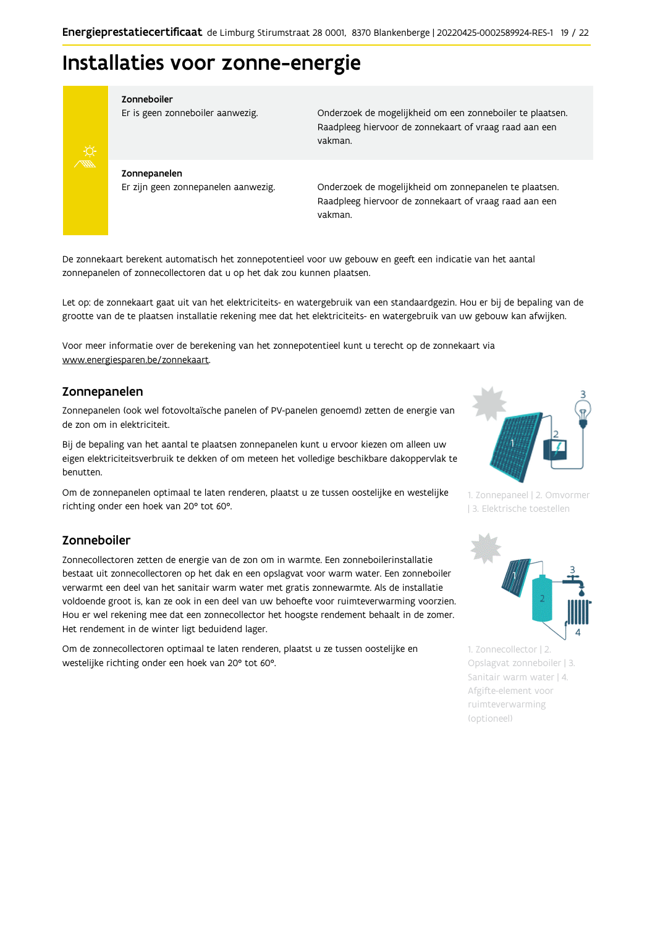## Installaties voor zonne-energie



Zonneboiler

Er is geen zonneboiler aanwezig.

Onderzoek de mogelijkheid om een zonneboiler te plaatsen. Raadpleeg hiervoor de zonnekaart of vraag raad aan een vakman.

Zonnepanelen Er zijn geen zonnepanelen aanwezig.

Onderzoek de mogelijkheid om zonnepanelen te plaatsen. Raadpleeg hiervoor de zonnekaart of vraag raad aan een vakman.

De zonnekaart berekent automatisch het zonnepotentieel voor uw gebouw en geeft een indicatie van het aantal zonnepanelen of zonnecollectoren dat u op het dak zou kunnen plaatsen.

Let op: de zonnekaart gaat uit van het elektriciteits- en watergebruik van een standaardgezin. Hou er bij de bepaling van de grootte van de te plaatsen installatie rekening mee dat het elektriciteits- en watergebruik van uw gebouw kan afwijken.

Voor meer informatie over de berekening van het zonnepotentieel kunt u terecht op de zonnekaart via www.energiesparen.be/zonnekaart.

### Zonnepanelen

Zonnepanelen (ook wel fotovoltaïsche panelen of PV-panelen genoemd) zetten de energie van de zon om in elektriciteit.

Bij de bepaling van het aantal te plaatsen zonnepanelen kunt u ervoor kiezen om alleen uw eigen elektriciteitsverbruik te dekken of om meteen het volledige beschikbare dakoppervlak te benutten.

Om de zonnepanelen optimaal te laten renderen, plaatst u ze tussen oostelijke en westelijke richting onder een hoek van 20° tot 60°.

#### Zonneboiler

Zonnecollectoren zetten de energie van de zon om in warmte. Een zonneboilerinstallatie bestaat uit zonnecollectoren op het dak en een opslagvat voor warm water. Een zonneboiler verwarmt een deel van het sanitair warm water met gratis zonnewarmte. Als de installatie voldoende groot is, kan ze ook in een deel van uw behoefte voor ruimteverwarming voorzien. Hou er wel rekening mee dat een zonnecollector het hoogste rendement behaalt in de zomer. Het rendement in de winter ligt beduidend lager.

Om de zonnecollectoren optimaal te laten renderen, plaatst u ze tussen oostelijke en westelijke richting onder een hoek van 20° tot 60°.



1. Zonnepaneel | 2. Omvormer | 3. Elektrische toestellen



1. Zonnecollector | 2. Opslagvat zonneboiler | 3. Sanitair warm water | 4. Afgifte-element voor ruimteverwarming (optioneel)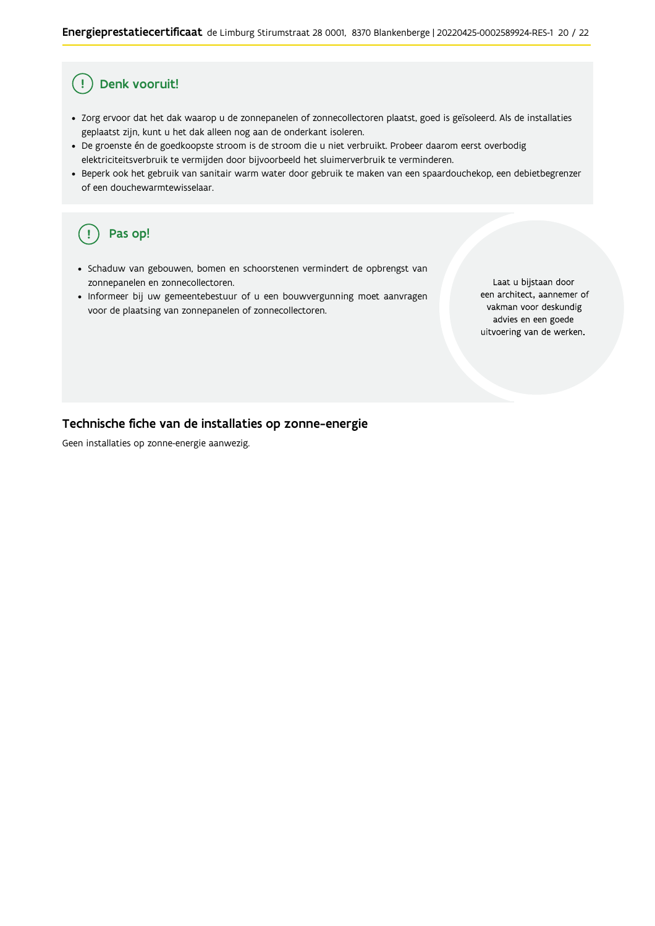#### Ţ Denk vooruit!

- · Zorg ervoor dat het dak waarop u de zonnepanelen of zonnecollectoren plaatst, goed is geïsoleerd. Als de installaties geplaatst zijn, kunt u het dak alleen nog aan de onderkant isoleren.
- · De groenste én de goedkoopste stroom is de stroom die u niet verbruikt. Probeer daarom eerst overbodig elektriciteitsverbruik te vermijden door bijvoorbeeld het sluimerverbruik te verminderen.
- · Beperk ook het gebruik van sanitair warm water door gebruik te maken van een spaardouchekop, een debietbegrenzer of een douchewarmtewisselaar.

#### Pas op! ( !

- · Schaduw van gebouwen, bomen en schoorstenen vermindert de opbrengst van zonnepanelen en zonnecollectoren.
- Informeer bij uw gemeentebestuur of u een bouwvergunning moet aanvragen voor de plaatsing van zonnepanelen of zonnecollectoren.

Laat u bijstaan door een architect, aannemer of vakman voor deskundig advies en een goede uitvoering van de werken.

### Technische fiche van de installaties op zonne-energie

Geen installaties op zonne-energie aanwezig.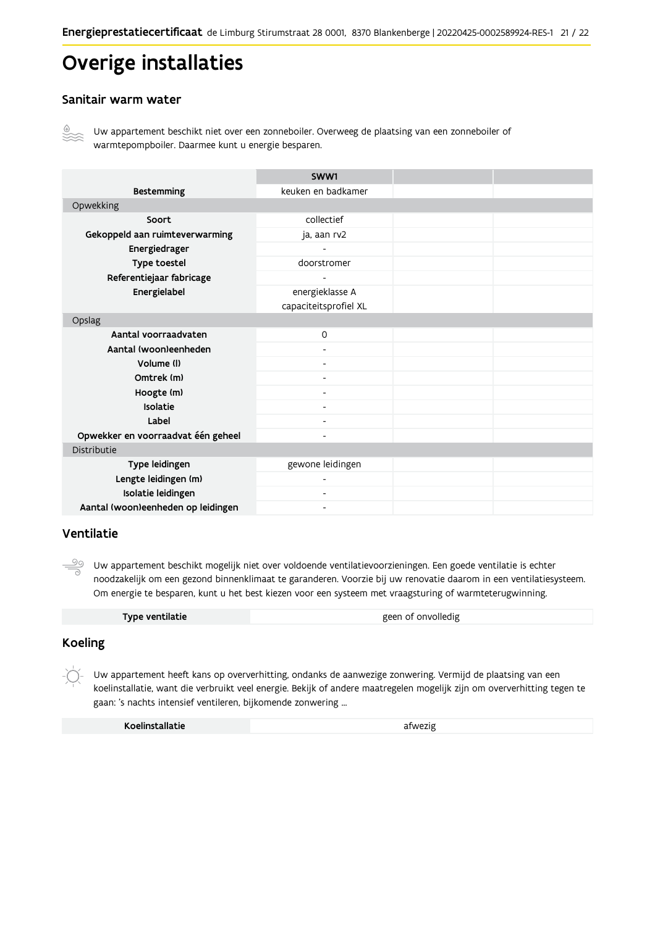## Overige installaties

### Sanitair warm water



Uw appartement beschikt niet over een zonneboiler. Overweeg de plaatsing van een zonneboiler of warmtepompboiler. Daarmee kunt u energie besparen.

|                                    | SWW1                     |  |
|------------------------------------|--------------------------|--|
| <b>Bestemming</b>                  | keuken en badkamer       |  |
| Opwekking                          |                          |  |
| Soort                              | collectief               |  |
| Gekoppeld aan ruimteverwarming     | ja, aan rv2              |  |
| Energiedrager                      |                          |  |
| Type toestel                       | doorstromer              |  |
| Referentiejaar fabricage           | $\overline{\phantom{0}}$ |  |
| Energielabel                       | energieklasse A          |  |
|                                    | capaciteitsprofiel XL    |  |
| Opslag                             |                          |  |
| Aantal voorraadvaten               | $\Omega$                 |  |
| Aantal (woon)eenheden              |                          |  |
| Volume (I)                         |                          |  |
| Omtrek (m)                         |                          |  |
| Hoogte (m)                         |                          |  |
| Isolatie                           |                          |  |
| Label                              |                          |  |
| Opwekker en voorraadvat één geheel |                          |  |
| Distributie                        |                          |  |
| Type leidingen                     | gewone leidingen         |  |
| Lengte leidingen (m)               | ٠                        |  |
| Isolatie leidingen                 | Ξ.                       |  |
| Aantal (woon)eenheden op leidingen | -                        |  |

#### Ventilatie

 $\frac{\circledcirc}{\circ}$ Uw appartement beschikt mogelijk niet over voldoende ventilatievoorzieningen. Een goede ventilatie is echter noodzakelijk om een gezond binnenklimaat te garanderen. Voorzie bij uw renovatie daarom in een ventilatiesysteem. Om energie te besparen, kunt u het best kiezen voor een systeem met vraagsturing of warmteterugwinning.

| Type ventilatie | geen of onvolledig |
|-----------------|--------------------|
|                 |                    |

### **Koeling**

Uw appartement heeft kans op oververhitting, ondanks de aanwezige zonwering. Vermijd de plaatsing van een koelinstallatie, want die verbruikt veel energie. Bekijk of andere maatregelen mogelijk zijn om oververhitting tegen te gaan: 's nachts intensief ventileren, bijkomende zonwering ...

| Koelinstallatie | afwezig |
|-----------------|---------|
|-----------------|---------|